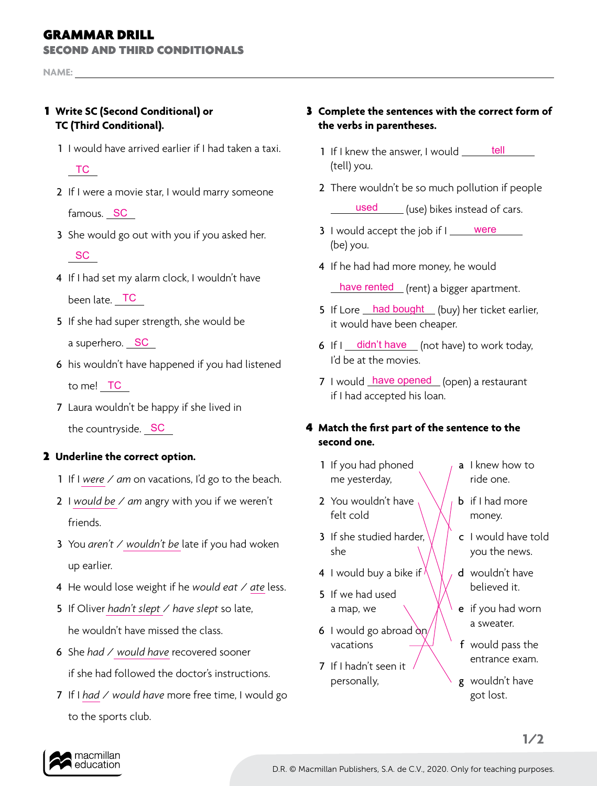# GRAMMAR DRILL

SECOND AND THIRD CONDITIONALS

**NAME:** 

## 1 **Write SC (Second Conditional) or TC (Third Conditional).**

1 I would have arrived earlier if I had taken a taxi.

TC

- 2 If I were a movie star, I would marry someone famous. <mark>\_SC</mark>
- 3 She would go out with you if you asked her. **SC**
- 4 If I had set my alarm clock, I wouldn't have been late. \_\_<del>TC</del>
- 5 If she had super strength, she would be a superhero. <u>\_ SC</u>
- 6 his wouldn't have happened if you had listened to me! <u>\_ TC</u>
- 7 Laura wouldn't be happy if she lived in the countryside. <u>SC</u>

### 2 **Underline the correct option.**

- 1 If I *were* / *am* on vacations, I'd go to the beach.
- 2 I *would be* / *am* angry with you if we weren't friends.
- 3 You *aren't* / *wouldn't be* late if you had woken up earlier.
- 4 He would lose weight if he *would eat* / *ate* less.
- 5 If Oliver *hadn't slept* / *have slept* so late, he wouldn't have missed the class.
- 6 She *had* / *would have* recovered sooner if she had followed the doctor's instructions.
- 7 If I *had* / *would have* more free time, I would go to the sports club.

### 3 **Complete the sentences with the correct form of the verbs in parentheses.**

- 1 If I knew the answer, I would (tell) you. tell
- 2 There wouldn't be so much pollution if people

used (use) bikes instead of cars.

- 3 I would accept the job if I were (be) you.
- 4 If he had had more money, he would have rented (rent) a bigger apartment.
- 5 If Lore had bought (buy) her ticket earlier, it would have been cheaper.
- 6 If  $I$   $\frac{d$  didn't have  $\Gamma$  (not have) to work today, I'd be at the movies.
- 7 I would have opened (open) a restaurant if I had accepted his loan.

### 4 **Match the first part of the sentence to the second one.**

- 1 If you had phoned me yesterday,
- 2 You wouldn't have felt cold
- 3 If she studied harder. she
- 4 I would buy a bike if
- 5 If we had used a map, we
- 6 I would go abroad  $\alpha_n$ vacations
- 7 If I hadn't seen it personally,
- a I knew how to ride one.
- **b** if I had more money.
- c I would have told you the news.
- d wouldn't have believed it.
- e if you had worn a sweater.
- f would pass the entrance exam.
- g wouldn't have got lost.